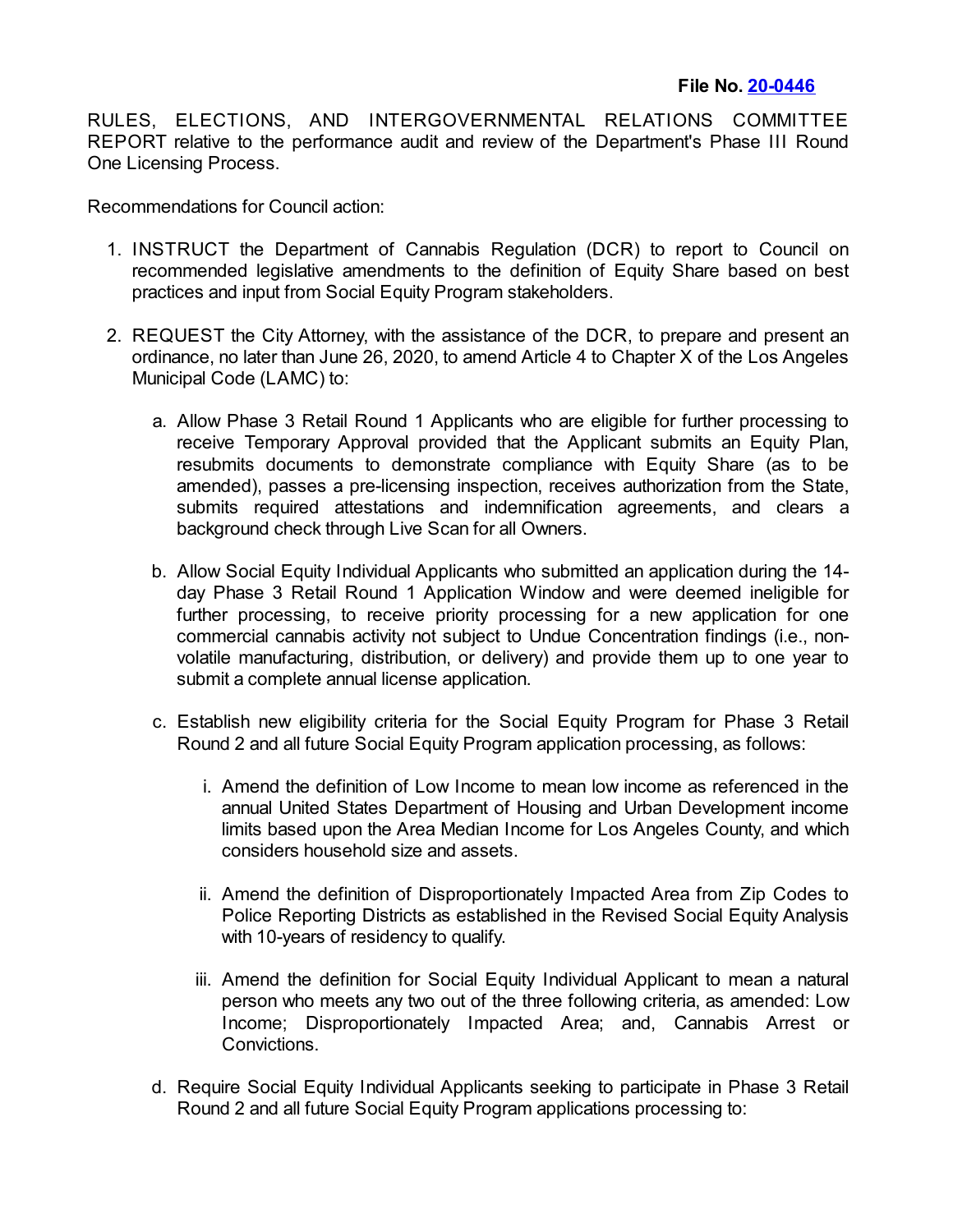RULES, ELECTIONS, AND INTERGOVERNMENTAL RELATIONS COMMITTEE REPORT relative to the performance audit and review of the Department's Phase III Round One Licensing Process.

Recommendations for Council action:

- 1. INSTRUCT the Department of Cannabis Regulation (DCR) to report to Council on recommended legislative amendments to the definition of Equity Share based on best practices and input from Social Equity Program stakeholders.
- 2. REQUEST the City Attorney, with the assistance of the DCR, to prepare and present an ordinance, no later than June 26, 2020, to amend Article 4 to Chapter X of the Los Angeles Municipal Code (LAMC) to:
	- a. Allow Phase 3 Retail Round 1 Applicants who are eligible for further processing to receive Temporary Approval provided that the Applicant submits an Equity Plan, resubmits documents to demonstrate compliance with Equity Share (as to be amended), passes a pre-licensing inspection, receives authorization from the State, submits required attestations and indemnification agreements, and clears a background check through Live Scan for all Owners.
	- b. Allow Social Equity Individual Applicants who submitted an application during the 14 day Phase 3 Retail Round 1 Application Window and were deemed ineligible for further processing, to receive priority processing for a new application for one commercial cannabis activity not subject to Undue Concentration findings (i.e., nonvolatile manufacturing, distribution, or delivery) and provide them up to one year to submit a complete annual license application.
	- c. Establish new eligibility criteria for the Social Equity Program for Phase 3 Retail Round 2 and all future Social Equity Program application processing, as follows:
		- i. Amend the definition of Low Income to mean low income as referenced in the annual United States Department of Housing and Urban Development income limits based upon the Area Median Income for Los Angeles County, and which considers household size and assets.
		- ii. Amend the definition of Disproportionately Impacted Area from Zip Codes to Police Reporting Districts as established in the Revised Social Equity Analysis with 10-years of residency to qualify.
		- iii. Amend the definition for Social Equity Individual Applicant to mean a natural person who meets any two out of the three following criteria, as amended: Low Income; Disproportionately Impacted Area; and, Cannabis Arrest or Convictions.
	- d. Require Social Equity Individual Applicants seeking to participate in Phase 3 Retail Round 2 and all future Social Equity Program applications processing to: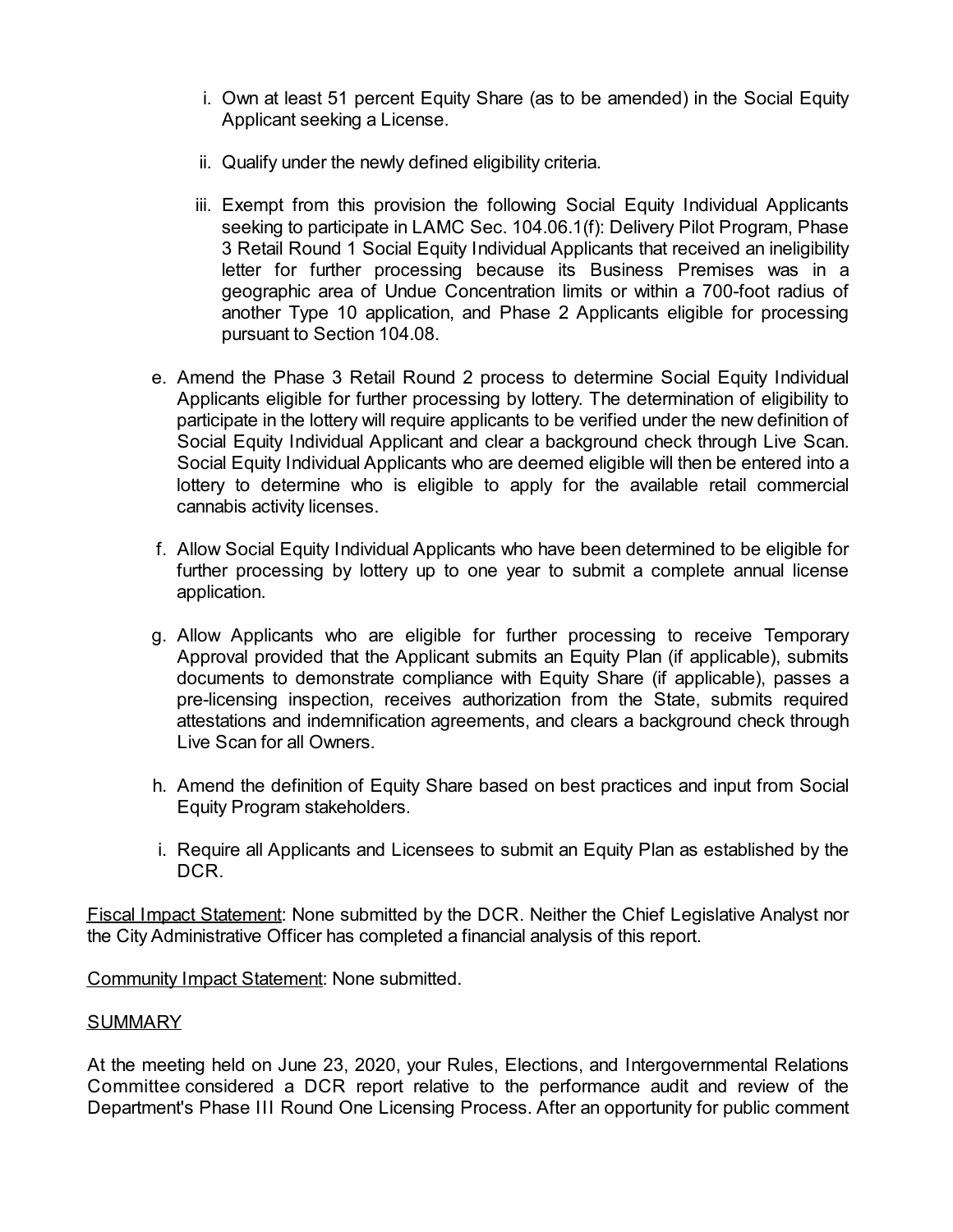- i. Own at least 51 percent Equity Share (as to be amended) in the Social Equity Applicant seeking a License.
- ii. Qualify under the newly defined eligibility criteria.
- iii. Exempt from this provision the following Social Equity Individual Applicants seeking to participate in LAMC Sec. 104.06.1(f): Delivery Pilot Program, Phase 3 Retail Round 1 Social Equity Individual Applicants that received an ineligibility letter for further processing because its Business Premises was in a geographic area of Undue Concentration limits or within a 700-foot radius of another Type 10 application, and Phase 2 Applicants eligible for processing pursuant to Section 104.08.
- e. Amend the Phase 3 Retail Round 2 process to determine Social Equity Individual Applicants eligible for further processing by lottery. The determination of eligibility to participate in the lottery will require applicants to be verified under the new definition of Social Equity Individual Applicant and clear a background check through Live Scan. Social Equity Individual Applicants who are deemed eligible will then be entered into a lottery to determine who is eligible to apply for the available retail commercial cannabis activity licenses.
- f. Allow Social Equity Individual Applicants who have been determined to be eligible for further processing by lottery up to one year to submit a complete annual license application.
- g. Allow Applicants who are eligible for further processing to receive Temporary Approval provided that the Applicant submits an Equity Plan (if applicable), submits documents to demonstrate compliance with Equity Share (if applicable), passes a pre-licensing inspection, receives authorization from the State, submits required attestations and indemnification agreements, and clears a background check through Live Scan for all Owners.
- h. Amend the definition of Equity Share based on best practices and input from Social Equity Program stakeholders.
- i. Require all Applicants and Licensees to submit an Equity Plan as established by the DCR.

Fiscal Impact Statement: None submitted by the DCR. Neither the Chief Legislative Analyst nor the City Administrative Officer has completed a financial analysis of this report.

Community Impact Statement: None submitted.

## SUMMARY

At the meeting held on June 23, 2020, your Rules, Elections, and Intergovernmental Relations Committee considered a DCR report relative to the performance audit and review of the Department's Phase III Round One Licensing Process. After an opportunity for public comment